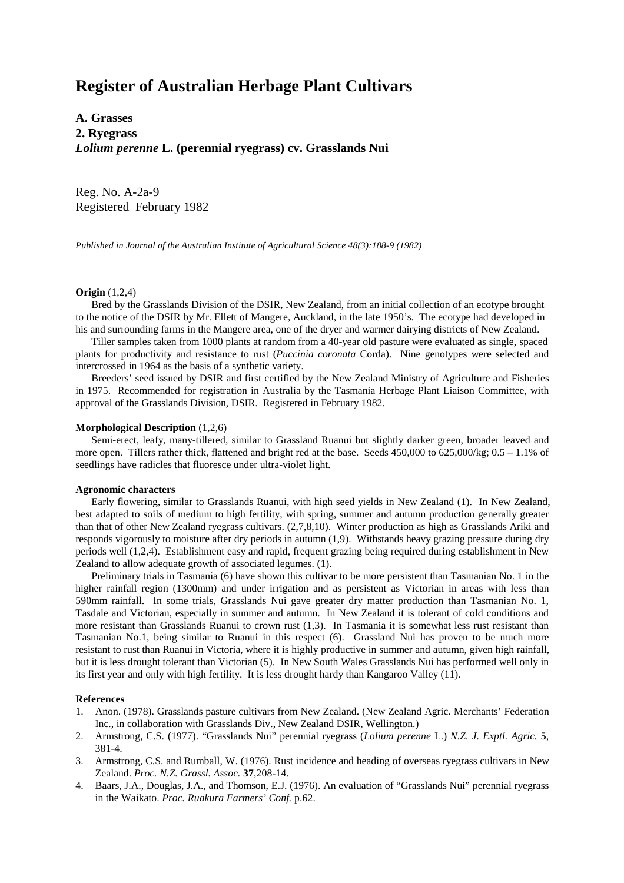# **Register of Australian Herbage Plant Cultivars**

**A. Grasses 2. Ryegrass** *Lolium perenne* **L. (perennial ryegrass) cv. Grasslands Nui**

Reg. No. A-2a-9 Registered February 1982

*Published in Journal of the Australian Institute of Agricultural Science 48(3):188-9 (1982)*

## **Origin** (1,2,4)

 Bred by the Grasslands Division of the DSIR, New Zealand, from an initial collection of an ecotype brought to the notice of the DSIR by Mr. Ellett of Mangere, Auckland, in the late 1950's. The ecotype had developed in his and surrounding farms in the Mangere area, one of the dryer and warmer dairying districts of New Zealand.

 Tiller samples taken from 1000 plants at random from a 40-year old pasture were evaluated as single, spaced plants for productivity and resistance to rust (*Puccinia coronata* Corda). Nine genotypes were selected and intercrossed in 1964 as the basis of a synthetic variety.

 Breeders' seed issued by DSIR and first certified by the New Zealand Ministry of Agriculture and Fisheries in 1975. Recommended for registration in Australia by the Tasmania Herbage Plant Liaison Committee, with approval of the Grasslands Division, DSIR. Registered in February 1982.

#### **Morphological Description** (1,2,6)

 Semi-erect, leafy, many-tillered, similar to Grassland Ruanui but slightly darker green, broader leaved and more open. Tillers rather thick, flattened and bright red at the base. Seeds  $450,000$  to  $625,000/\text{kg}$ ;  $0.5 - 1.1\%$  of seedlings have radicles that fluoresce under ultra-violet light.

### **Agronomic characters**

 Early flowering, similar to Grasslands Ruanui, with high seed yields in New Zealand (1). In New Zealand, best adapted to soils of medium to high fertility, with spring, summer and autumn production generally greater than that of other New Zealand ryegrass cultivars. (2,7,8,10). Winter production as high as Grasslands Ariki and responds vigorously to moisture after dry periods in autumn (1,9). Withstands heavy grazing pressure during dry periods well (1,2,4). Establishment easy and rapid, frequent grazing being required during establishment in New Zealand to allow adequate growth of associated legumes. (1).

 Preliminary trials in Tasmania (6) have shown this cultivar to be more persistent than Tasmanian No. 1 in the higher rainfall region (1300mm) and under irrigation and as persistent as Victorian in areas with less than 590mm rainfall. In some trials, Grasslands Nui gave greater dry matter production than Tasmanian No. 1, Tasdale and Victorian, especially in summer and autumn. In New Zealand it is tolerant of cold conditions and more resistant than Grasslands Ruanui to crown rust (1,3). In Tasmania it is somewhat less rust resistant than Tasmanian No.1, being similar to Ruanui in this respect (6). Grassland Nui has proven to be much more resistant to rust than Ruanui in Victoria, where it is highly productive in summer and autumn, given high rainfall, but it is less drought tolerant than Victorian (5). In New South Wales Grasslands Nui has performed well only in its first year and only with high fertility. It is less drought hardy than Kangaroo Valley (11).

#### **References**

- 1. Anon. (1978). Grasslands pasture cultivars from New Zealand. (New Zealand Agric. Merchants' Federation Inc., in collaboration with Grasslands Div., New Zealand DSIR, Wellington.)
- 2. Armstrong, C.S. (1977). "Grasslands Nui" perennial ryegrass (*Lolium perenne* L.) *N.Z. J. Exptl. Agric.* **5**, 381-4.
- 3. Armstrong, C.S. and Rumball, W. (1976). Rust incidence and heading of overseas ryegrass cultivars in New Zealand. *Proc. N.Z. Grassl. Assoc.* **37**,208-14.
- 4. Baars, J.A., Douglas, J.A., and Thomson, E.J. (1976). An evaluation of "Grasslands Nui" perennial ryegrass in the Waikato. *Proc. Ruakura Farmers' Conf.* p.62.